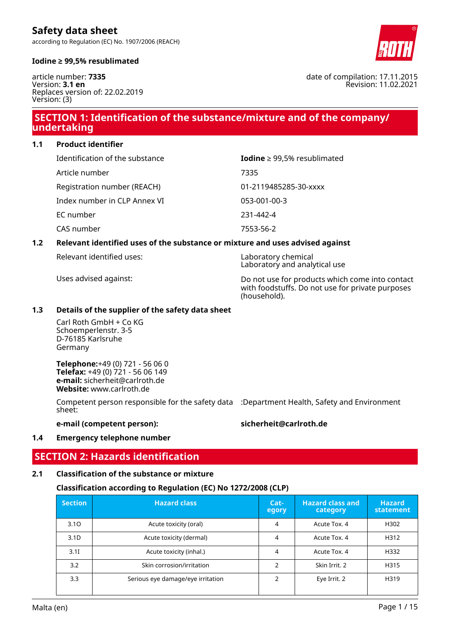according to Regulation (EC) No. 1907/2006 (REACH)



#### **Iodine ≥ 99,5% resublimated**

article number: **7335** Version: **3.1 en** Replaces version of: 22.02.2019 Version: (3)

## **SECTION 1: Identification of the substance/mixture and of the company/ undertaking**

**1.1 Product identifier**

| Identification of the substance | Iodine $\geq$ 99,5% resublimated |  |
|---------------------------------|----------------------------------|--|
| Article number                  | 7335                             |  |
| Registration number (REACH)     | 01-2119485285-30-xxxx            |  |
| Index number in CLP Annex VI    | 053-001-00-3                     |  |
| EC number                       | 231-442-4                        |  |
| CAS number                      | 7553-56-2                        |  |

#### **1.2 Relevant identified uses of the substance or mixture and uses advised against**

Relevant identified uses: example a set of the Laboratory chemical

Laboratory and analytical use

Uses advised against: Do not use for products which come into contact with foodstuffs. Do not use for private purposes (household).

#### **1.3 Details of the supplier of the safety data sheet**

Carl Roth GmbH + Co KG Schoemperlenstr. 3-5 D-76185 Karlsruhe Germany

**Telephone:**+49 (0) 721 - 56 06 0 **Telefax:** +49 (0) 721 - 56 06 149 **e-mail:** sicherheit@carlroth.de **Website:** www.carlroth.de

Competent person responsible for the safety data :Department Health, Safety and Environment sheet:

**e-mail (competent person): sicherheit@carlroth.de**

#### **1.4 Emergency telephone number**

## **SECTION 2: Hazards identification**

### **2.1 Classification of the substance or mixture**

### **Classification according to Regulation (EC) No 1272/2008 (CLP)**

| <b>Section</b>   | <b>Hazard class</b>               |   | <b>Hazard class and</b><br>category | <b>Hazard</b><br>statement |
|------------------|-----------------------------------|---|-------------------------------------|----------------------------|
| 3.10             | Acute toxicity (oral)             | 4 | Acute Tox. 4                        | H302                       |
| 3.1 <sub>D</sub> | Acute toxicity (dermal)           |   | Acute Tox. 4                        | H312                       |
| 3.1I             | Acute toxicity (inhal.)           |   | Acute Tox. 4                        | H332                       |
| 3.2              | Skin corrosion/irritation         |   | Skin Irrit. 2                       | H315                       |
| 3.3              | Serious eye damage/eye irritation | ∍ | Eye Irrit. 2                        | H319                       |

date of compilation: 17.11.2015 Revision: 11.02.2021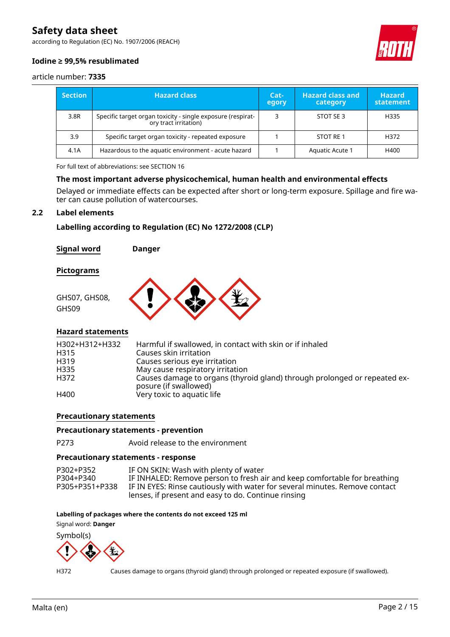according to Regulation (EC) No. 1907/2006 (REACH)



### **Iodine ≥ 99,5% resublimated**

article number: **7335**

| <b>Section</b> | <b>Hazard class</b>                                                                  | Cat-<br>egory | <b>Hazard class and</b><br>category | <b>Hazard</b><br>statement |
|----------------|--------------------------------------------------------------------------------------|---------------|-------------------------------------|----------------------------|
| 3.8R           | Specific target organ toxicity - single exposure (respirat-<br>ory tract irritation) |               | STOT SE 3                           | H335                       |
| 3.9            | Specific target organ toxicity - repeated exposure                                   |               | STOT RE 1                           | H372                       |
| 4.1A           | Hazardous to the aquatic environment - acute hazard                                  |               | Aquatic Acute 1                     | H400                       |

For full text of abbreviations: see SECTION 16

#### **The most important adverse physicochemical, human health and environmental effects**

Delayed or immediate effects can be expected after short or long-term exposure. Spillage and fire water can cause pollution of watercourses.

#### **2.2 Label elements**

**Labelling according to Regulation (EC) No 1272/2008 (CLP)**

**Signal word Danger**

**Pictograms**



#### **Hazard statements**

| H302+H312+H332<br>H <sub>3</sub> 15<br>H319<br>H335<br>H372 | Harmful if swallowed, in contact with skin or if inhaled<br>Causes skin irritation<br>Causes serious eye irritation<br>May cause respiratory irritation<br>Causes damage to organs (thyroid gland) through prolonged or repeated ex-<br>posure (if swallowed) |
|-------------------------------------------------------------|---------------------------------------------------------------------------------------------------------------------------------------------------------------------------------------------------------------------------------------------------------------|
| H400                                                        | Very toxic to aquatic life                                                                                                                                                                                                                                    |

#### **Precautionary statements**

#### **Precautionary statements - prevention**

P273 Avoid release to the environment

#### **Precautionary statements - response**

P302+P352 IF ON SKIN: Wash with plenty of water<br>P304+P340 IF INHALED: Remove person to fresh ai P304+P340 IF INHALED: Remove person to fresh air and keep comfortable for breathing IF IN EYES: Rinse cautiously with water for several minutes. Remove contact lenses, if present and easy to do. Continue rinsing

#### **Labelling of packages where the contents do not exceed 125 ml**

Signal word: **Danger**

Symbol(s)



H372 Causes damage to organs (thyroid gland) through prolonged or repeated exposure (if swallowed).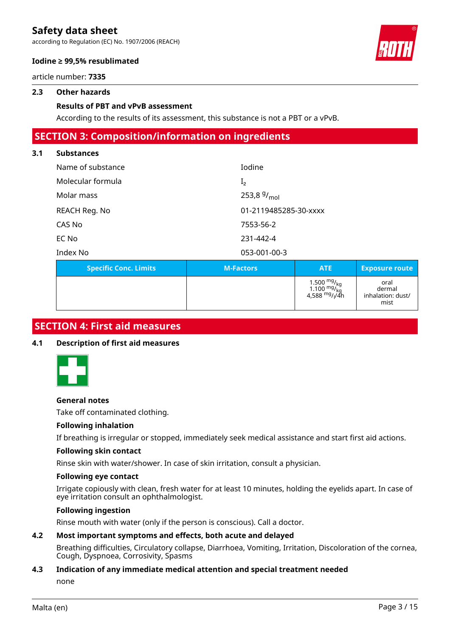according to Regulation (EC) No. 1907/2006 (REACH)



#### **Iodine ≥ 99,5% resublimated**

article number: **7335**

#### **2.3 Other hazards**

#### **Results of PBT and vPvB assessment**

According to the results of its assessment, this substance is not a PBT or a vPvB.

## **SECTION 3: Composition/information on ingredients**

#### **3.1 Substances**

| <b>Specific Conc. Limits</b> | <b>M-Factors</b>      | <b>ATE</b> |  |
|------------------------------|-----------------------|------------|--|
| Index No                     | 053-001-00-3          |            |  |
| EC No                        | 231-442-4             |            |  |
| CAS No                       | 7553-56-2             |            |  |
| REACH Reg. No                | 01-2119485285-30-xxxx |            |  |
| Molar mass                   | 253,8 $9/_{mol}$      |            |  |
| Molecular formula            | I <sub>2</sub>        |            |  |
| Name of substance            | Iodine                |            |  |
|                              |                       |            |  |

| <b>Specific Conc. Limits</b> | <b>M-Factors</b> | <b>ATE</b>                                                            | <b>Exposure route</b>                       |
|------------------------------|------------------|-----------------------------------------------------------------------|---------------------------------------------|
|                              |                  | 1.500 $_{\rm{mg}/_{\rm{kg}}}^{\rm{mg}/_{\rm{kg}}}$<br>4,588 $mg/1/4h$ | oral<br>dermal<br>inhalation: dust/<br>mist |

## **SECTION 4: First aid measures**

#### **4.1 Description of first aid measures**



#### **General notes**

Take off contaminated clothing.

#### **Following inhalation**

If breathing is irregular or stopped, immediately seek medical assistance and start first aid actions.

#### **Following skin contact**

Rinse skin with water/shower. In case of skin irritation, consult a physician.

#### **Following eye contact**

Irrigate copiously with clean, fresh water for at least 10 minutes, holding the eyelids apart. In case of eye irritation consult an ophthalmologist.

#### **Following ingestion**

Rinse mouth with water (only if the person is conscious). Call a doctor.

### **4.2 Most important symptoms and effects, both acute and delayed**

Breathing difficulties, Circulatory collapse, Diarrhoea, Vomiting, Irritation, Discoloration of the cornea, Cough, Dyspnoea, Corrosivity, Spasms

### **4.3 Indication of any immediate medical attention and special treatment needed**

none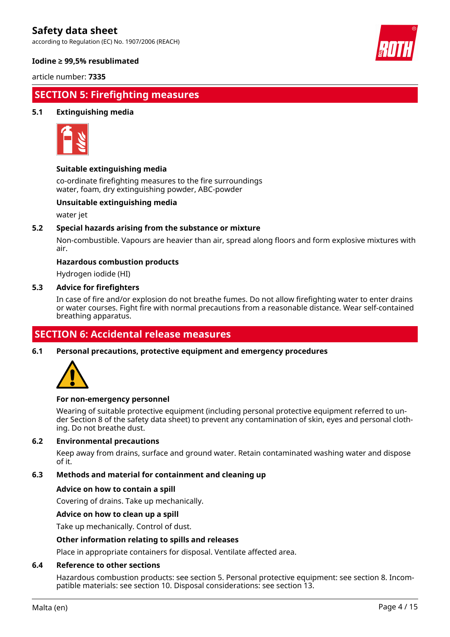according to Regulation (EC) No. 1907/2006 (REACH)



#### **Iodine ≥ 99,5% resublimated**

article number: **7335**

## **SECTION 5: Firefighting measures**

#### **5.1 Extinguishing media**



#### **Suitable extinguishing media**

co-ordinate firefighting measures to the fire surroundings water, foam, dry extinguishing powder, ABC-powder

#### **Unsuitable extinguishing media**

water jet

#### **5.2 Special hazards arising from the substance or mixture**

Non-combustible. Vapours are heavier than air, spread along floors and form explosive mixtures with air.

#### **Hazardous combustion products**

Hydrogen iodide (HI)

#### **5.3 Advice for firefighters**

In case of fire and/or explosion do not breathe fumes. Do not allow firefighting water to enter drains or water courses. Fight fire with normal precautions from a reasonable distance. Wear self-contained breathing apparatus.

## **SECTION 6: Accidental release measures**

**6.1 Personal precautions, protective equipment and emergency procedures**



#### **For non-emergency personnel**

Wearing of suitable protective equipment (including personal protective equipment referred to under Section 8 of the safety data sheet) to prevent any contamination of skin, eyes and personal clothing. Do not breathe dust.

#### **6.2 Environmental precautions**

Keep away from drains, surface and ground water. Retain contaminated washing water and dispose of it.

#### **6.3 Methods and material for containment and cleaning up**

#### **Advice on how to contain a spill**

Covering of drains. Take up mechanically.

#### **Advice on how to clean up a spill**

Take up mechanically. Control of dust.

#### **Other information relating to spills and releases**

Place in appropriate containers for disposal. Ventilate affected area.

#### **6.4 Reference to other sections**

Hazardous combustion products: see section 5. Personal protective equipment: see section 8. Incompatible materials: see section 10. Disposal considerations: see section 13.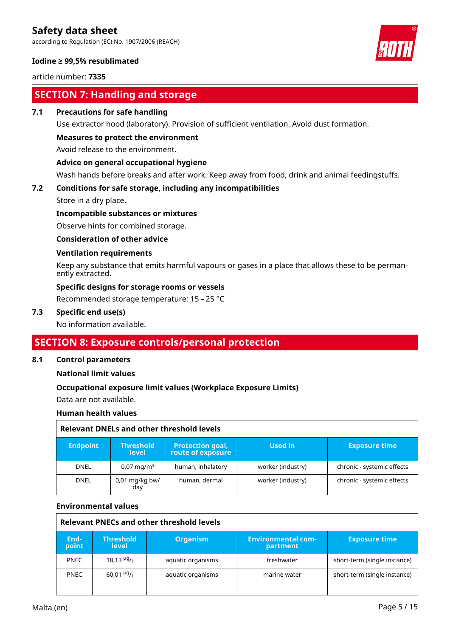according to Regulation (EC) No. 1907/2006 (REACH)

#### **Iodine ≥ 99,5% resublimated**

article number: **7335**

# **SECTION 7: Handling and storage**

#### **7.1 Precautions for safe handling**

Use extractor hood (laboratory). Provision of sufficient ventilation. Avoid dust formation.

#### **Measures to protect the environment**

Avoid release to the environment.

#### **Advice on general occupational hygiene**

Wash hands before breaks and after work. Keep away from food, drink and animal feedingstuffs.

## **7.2 Conditions for safe storage, including any incompatibilities**

Store in a dry place.

#### **Incompatible substances or mixtures**

Observe hints for combined storage.

#### **Consideration of other advice**

#### **Ventilation requirements**

Keep any substance that emits harmful vapours or gases in a place that allows these to be permanently extracted.

### **Specific designs for storage rooms or vessels**

Recommended storage temperature: 15 – 25 °C

#### **7.3 Specific end use(s)**

No information available.

### **SECTION 8: Exposure controls/personal protection**

#### **8.1 Control parameters**

**National limit values**

### **Occupational exposure limit values (Workplace Exposure Limits)**

Data are not available.

#### **Human health values**

| Relevant DNELs and other threshold levels |                                  |                                              |                   |                            |  |
|-------------------------------------------|----------------------------------|----------------------------------------------|-------------------|----------------------------|--|
| <b>Endpoint</b>                           | <b>Threshold</b><br><b>level</b> | <b>Protection goal,</b><br>route of exposure | Used in           | <b>Exposure time</b>       |  |
| <b>DNEL</b>                               | $0.07 \,\mathrm{mag/m^3}$        | human, inhalatory                            | worker (industry) | chronic - systemic effects |  |
| <b>DNEL</b>                               | $0.01$ mg/kg bw/<br>day          | human, dermal                                | worker (industry) | chronic - systemic effects |  |

#### **Environmental values**

| Relevant PNECs and other threshold levels |                                      |                   |                                       |                              |  |
|-------------------------------------------|--------------------------------------|-------------------|---------------------------------------|------------------------------|--|
| End-<br>point                             | <b>Threshold</b><br>level            | <b>Organism</b>   | <b>Environmental com-</b><br>partment | <b>Exposure time</b>         |  |
| <b>PNEC</b>                               | $18.13\frac{\mu g}{\mu}$             | aquatic organisms | freshwater                            | short-term (single instance) |  |
| <b>PNEC</b>                               | $60,01$ <sup>µg</sup> / <sub>1</sub> | aquatic organisms | marine water                          | short-term (single instance) |  |

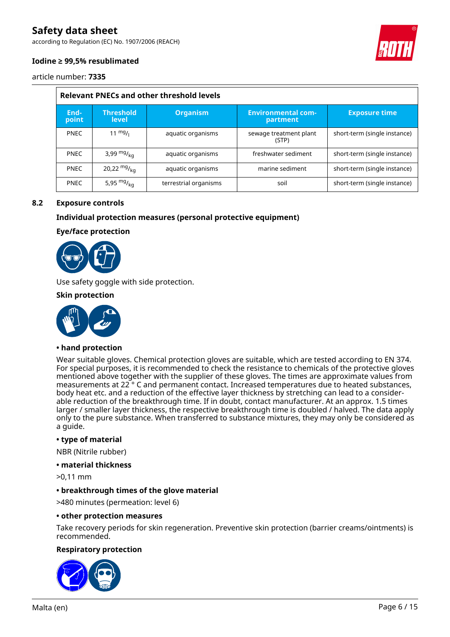according to Regulation (EC) No. 1907/2006 (REACH)



#### **Iodine ≥ 99,5% resublimated**

article number: **7335**

| <b>Relevant PNECs and other threshold levels</b> |                                  |                       |                                       |                              |  |
|--------------------------------------------------|----------------------------------|-----------------------|---------------------------------------|------------------------------|--|
| End-<br>point                                    | <b>Threshold</b><br><b>level</b> | <b>Organism</b>       | <b>Environmental com-</b><br>partment | <b>Exposure time</b>         |  |
| <b>PNEC</b>                                      | $11 \frac{mg}{l}$                | aquatic organisms     | sewage treatment plant<br>(STP)       | short-term (single instance) |  |
| <b>PNEC</b>                                      | 3,99 $mg/kq$                     | aquatic organisms     | freshwater sediment                   | short-term (single instance) |  |
| <b>PNEC</b>                                      | 20,22 $mg/_{ka}$                 | aquatic organisms     | marine sediment                       | short-term (single instance) |  |
| <b>PNEC</b>                                      | 5,95 $mg/kq$                     | terrestrial organisms | soil                                  | short-term (single instance) |  |

#### **8.2 Exposure controls**

#### **Individual protection measures (personal protective equipment)**

#### **Eye/face protection**



Use safety goggle with side protection.

#### **Skin protection**



#### **• hand protection**

Wear suitable gloves. Chemical protection gloves are suitable, which are tested according to EN 374. For special purposes, it is recommended to check the resistance to chemicals of the protective gloves mentioned above together with the supplier of these gloves. The times are approximate values from measurements at 22 ° C and permanent contact. Increased temperatures due to heated substances, body heat etc. and a reduction of the effective layer thickness by stretching can lead to a considerable reduction of the breakthrough time. If in doubt, contact manufacturer. At an approx. 1.5 times larger / smaller layer thickness, the respective breakthrough time is doubled / halved. The data apply only to the pure substance. When transferred to substance mixtures, they may only be considered as a guide.

#### **• type of material**

NBR (Nitrile rubber)

#### **• material thickness**

>0,11 mm

#### **• breakthrough times of the glove material**

>480 minutes (permeation: level 6)

#### **• other protection measures**

Take recovery periods for skin regeneration. Preventive skin protection (barrier creams/ointments) is recommended.

#### **Respiratory protection**

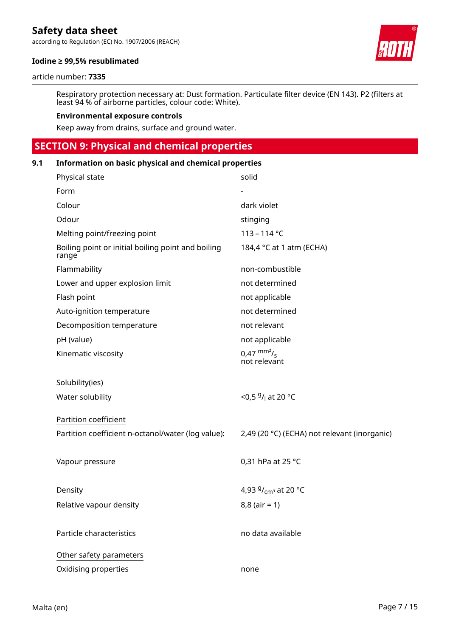according to Regulation (EC) No. 1907/2006 (REACH)

#### **Iodine ≥ 99,5% resublimated**

#### article number: **7335**

Respiratory protection necessary at: Dust formation. Particulate filter device (EN 143). P2 (filters at least 94 % of airborne particles, colour code: White).

#### **Environmental exposure controls**

Keep away from drains, surface and ground water.

# **SECTION 9: Physical and chemical properties**

| 9.1 | Information on basic physical and chemical properties       |                                              |  |  |
|-----|-------------------------------------------------------------|----------------------------------------------|--|--|
|     | Physical state                                              | solid                                        |  |  |
|     | Form                                                        |                                              |  |  |
|     | Colour                                                      | dark violet                                  |  |  |
|     | Odour                                                       | stinging                                     |  |  |
|     | Melting point/freezing point                                | $113 - 114 °C$                               |  |  |
|     | Boiling point or initial boiling point and boiling<br>range | 184,4 °C at 1 atm (ECHA)                     |  |  |
|     | Flammability                                                | non-combustible                              |  |  |
|     | Lower and upper explosion limit                             | not determined                               |  |  |
|     | Flash point                                                 | not applicable                               |  |  |
|     | Auto-ignition temperature                                   | not determined                               |  |  |
|     | Decomposition temperature                                   | not relevant                                 |  |  |
|     | pH (value)                                                  | not applicable                               |  |  |
|     | Kinematic viscosity                                         | $0.47 \frac{mm^2}{s}$<br>not relevant        |  |  |
|     | Solubility(ies)                                             |                                              |  |  |
|     | Water solubility                                            | <0,5 $9/1$ at 20 °C                          |  |  |
|     | Partition coefficient                                       |                                              |  |  |
|     | Partition coefficient n-octanol/water (log value):          | 2,49 (20 °C) (ECHA) not relevant (inorganic) |  |  |
|     | Vapour pressure                                             | 0,31 hPa at 25 °C                            |  |  |
|     | Density                                                     | 4,93 $9/_{cm^3}$ at 20 °C                    |  |  |
|     | Relative vapour density                                     | $8,8$ (air = 1)                              |  |  |
|     | Particle characteristics                                    | no data available                            |  |  |
|     | Other safety parameters                                     |                                              |  |  |
|     | Oxidising properties                                        | none                                         |  |  |

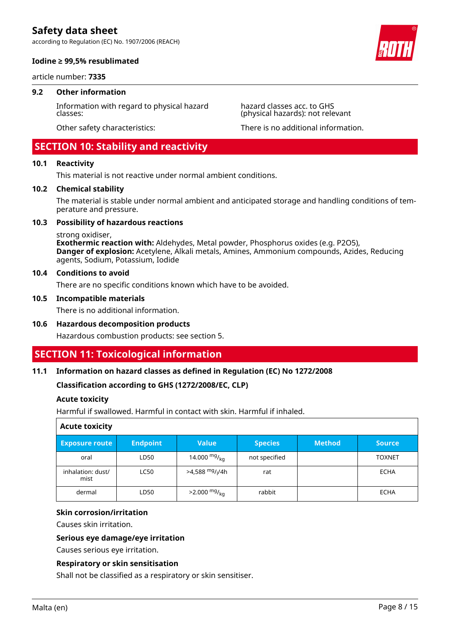according to Regulation (EC) No. 1907/2006 (REACH)



#### **Iodine ≥ 99,5% resublimated**

article number: **7335**

#### **9.2 Other information**

Information with regard to physical hazard classes:

hazard classes acc. to GHS (physical hazards): not relevant

Other safety characteristics: There is no additional information.

### **SECTION 10: Stability and reactivity**

#### **10.1 Reactivity**

This material is not reactive under normal ambient conditions.

#### **10.2 Chemical stability**

The material is stable under normal ambient and anticipated storage and handling conditions of temperature and pressure.

#### **10.3 Possibility of hazardous reactions**

strong oxidiser,

**Exothermic reaction with:** Aldehydes, Metal powder, Phosphorus oxides (e.g. P2O5), **Danger of explosion:** Acetylene, Alkali metals, Amines, Ammonium compounds, Azides, Reducing agents, Sodium, Potassium, Iodide

#### **10.4 Conditions to avoid**

There are no specific conditions known which have to be avoided.

#### **10.5 Incompatible materials**

There is no additional information.

#### **10.6 Hazardous decomposition products**

Hazardous combustion products: see section 5.

## **SECTION 11: Toxicological information**

#### **11.1 Information on hazard classes as defined in Regulation (EC) No 1272/2008**

**Classification according to GHS (1272/2008/EC, CLP)**

#### **Acute toxicity**

Harmful if swallowed. Harmful in contact with skin. Harmful if inhaled.

| <b>Acute toxicity</b>     |                 |                             |                |               |               |
|---------------------------|-----------------|-----------------------------|----------------|---------------|---------------|
| <b>Exposure route</b>     | <b>Endpoint</b> | <b>Value</b>                | <b>Species</b> | <b>Method</b> | <b>Source</b> |
| oral                      | LD50            | 14.000 $mg/_{kq}$           | not specified  |               | <b>TOXNET</b> |
| inhalation: dust/<br>mist | <b>LC50</b>     | >4,588 mg/ <sub>l</sub> /4h | rat            |               | ECHA          |
| dermal                    | LD50            | $>2.000$ mg/ <sub>kg</sub>  | rabbit         |               | ECHA          |

#### **Skin corrosion/irritation**

Causes skin irritation.

#### **Serious eye damage/eye irritation**

Causes serious eye irritation.

#### **Respiratory or skin sensitisation**

Shall not be classified as a respiratory or skin sensitiser.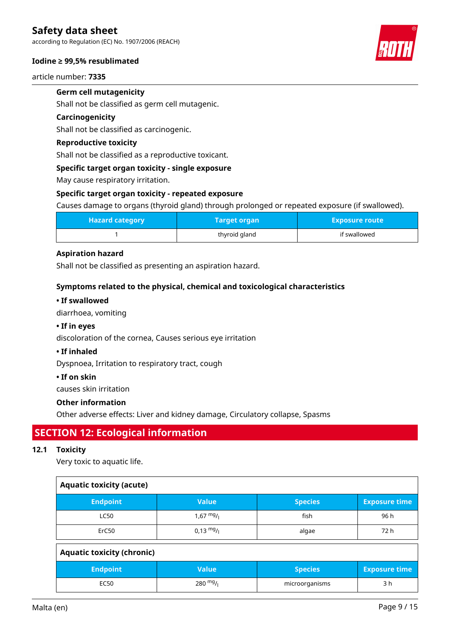according to Regulation (EC) No. 1907/2006 (REACH)

#### **Iodine ≥ 99,5% resublimated**

article number: **7335**

### **Germ cell mutagenicity**

Shall not be classified as germ cell mutagenic.

#### **Carcinogenicity**

Shall not be classified as carcinogenic.

#### **Reproductive toxicity**

Shall not be classified as a reproductive toxicant.

#### **Specific target organ toxicity - single exposure**

May cause respiratory irritation.

#### **Specific target organ toxicity - repeated exposure**

Causes damage to organs (thyroid gland) through prolonged or repeated exposure (if swallowed).

| <b>Hazard category</b> | Target organ  | <b>Exposure route</b> |
|------------------------|---------------|-----------------------|
|                        | thyroid gland | if swallowed          |

#### **Aspiration hazard**

Shall not be classified as presenting an aspiration hazard.

#### **Symptoms related to the physical, chemical and toxicological characteristics**

#### **• If swallowed**

diarrhoea, vomiting

### **• If in eyes**

discoloration of the cornea, Causes serious eye irritation

#### **• If inhaled**

Dyspnoea, Irritation to respiratory tract, cough

#### **• If on skin**

causes skin irritation

#### **Other information**

Other adverse effects: Liver and kidney damage, Circulatory collapse, Spasms

# **SECTION 12: Ecological information**

#### **12.1 Toxicity**

Very toxic to aquatic life.

| <b>Aquatic toxicity (acute)</b>   |                     |                |                      |
|-----------------------------------|---------------------|----------------|----------------------|
| <b>Endpoint</b>                   | <b>Value</b>        | <b>Species</b> | <b>Exposure time</b> |
| <b>LC50</b>                       | $1,67 \frac{mg}{l}$ | fish           | 96 h                 |
| ErC50                             | $0,13 \frac{mg}{l}$ | algae          | 72 h                 |
| <b>Aquatic toxicity (chronic)</b> |                     |                |                      |
| <b>Endpoint</b>                   | <b>Value</b>        | <b>Species</b> | <b>Exposure time</b> |
| <b>EC50</b>                       | 280 $mg/1$          | microorganisms | 3 h                  |

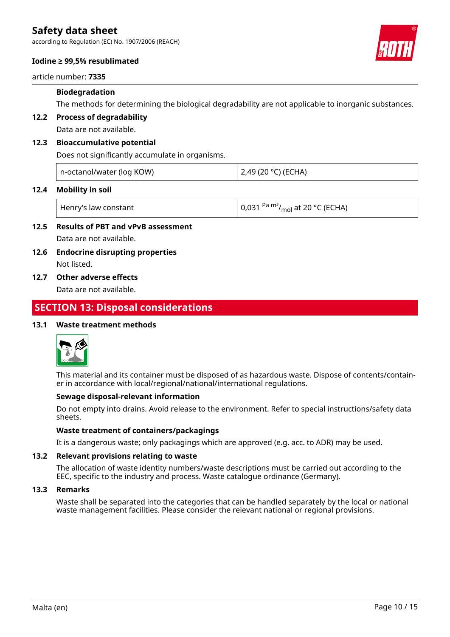according to Regulation (EC) No. 1907/2006 (REACH)

#### **Iodine ≥ 99,5% resublimated**

article number: **7335**

#### **Biodegradation**

The methods for determining the biological degradability are not applicable to inorganic substances.

**12.2 Process of degradability**

Data are not available.

#### **12.3 Bioaccumulative potential**

Does not significantly accumulate in organisms.

| n-octanol/water (log KOW) | 2,49 (20 °C) (ECHA) |
|---------------------------|---------------------|
|---------------------------|---------------------|

#### **12.4 Mobility in soil**

| Henry's law constant | $\vert$ 0,031 <sup>Pa m<sup>3</sup>/<sub>mol</sub> at 20 °C (ECHA)</sup> |
|----------------------|--------------------------------------------------------------------------|
|                      |                                                                          |

### **12.5 Results of PBT and vPvB assessment** Data are not available.

#### **12.6 Endocrine disrupting properties** Not listed.

### **12.7 Other adverse effects**

Data are not available.

# **SECTION 13: Disposal considerations**

#### **13.1 Waste treatment methods**



This material and its container must be disposed of as hazardous waste. Dispose of contents/container in accordance with local/regional/national/international regulations.

#### **Sewage disposal-relevant information**

Do not empty into drains. Avoid release to the environment. Refer to special instructions/safety data sheets.

#### **Waste treatment of containers/packagings**

It is a dangerous waste; only packagings which are approved (e.g. acc. to ADR) may be used.

#### **13.2 Relevant provisions relating to waste**

The allocation of waste identity numbers/waste descriptions must be carried out according to the EEC, specific to the industry and process. Waste catalogue ordinance (Germany).

#### **13.3 Remarks**

Waste shall be separated into the categories that can be handled separately by the local or national waste management facilities. Please consider the relevant national or regional provisions.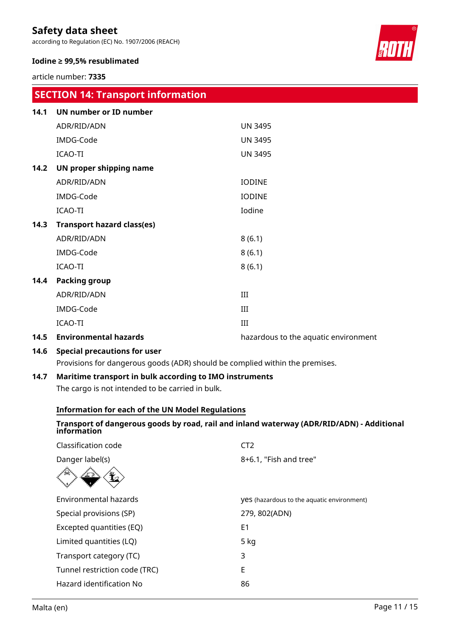according to Regulation (EC) No. 1907/2006 (REACH)

#### **Iodine ≥ 99,5% resublimated**

article number: **7335**

|      | <b>SECTION 14: Transport information</b> |                                      |
|------|------------------------------------------|--------------------------------------|
| 14.1 | <b>UN number or ID number</b>            |                                      |
|      | ADR/RID/ADN                              | <b>UN 3495</b>                       |
|      | IMDG-Code                                | <b>UN 3495</b>                       |
|      | <b>ICAO-TI</b>                           | <b>UN 3495</b>                       |
| 14.2 | UN proper shipping name                  |                                      |
|      | ADR/RID/ADN                              | <b>IODINE</b>                        |
|      | IMDG-Code                                | <b>IODINE</b>                        |
|      | <b>ICAO-TI</b>                           | Iodine                               |
| 14.3 | <b>Transport hazard class(es)</b>        |                                      |
|      | ADR/RID/ADN                              | 8(6.1)                               |
|      | IMDG-Code                                | 8(6.1)                               |
|      | <b>ICAO-TI</b>                           | 8(6.1)                               |
| 14.4 | <b>Packing group</b>                     |                                      |
|      | ADR/RID/ADN                              | III                                  |
|      | IMDG-Code                                | III                                  |
|      | <b>ICAO-TI</b>                           | III                                  |
| 14.5 | <b>Environmental hazards</b>             | hazardous to the aquatic environment |

### **14.6 Special precautions for user**

Provisions for dangerous goods (ADR) should be complied within the premises.

### **14.7 Maritime transport in bulk according to IMO instruments**

The cargo is not intended to be carried in bulk.

#### **Information for each of the UN Model Regulations**

#### **Transport of dangerous goods by road, rail and inland waterway (ADR/RID/ADN) - Additional information**

| Classification code           | CT2                                               |
|-------------------------------|---------------------------------------------------|
| Danger label(s)               | 8+6.1, "Fish and tree"                            |
|                               |                                                   |
| Environmental hazards         | <b>yes</b> (hazardous to the aquatic environment) |
| Special provisions (SP)       | 279, 802(ADN)                                     |
| Excepted quantities (EQ)      | E <sub>1</sub>                                    |
| Limited quantities (LQ)       | $5$ kg                                            |
| Transport category (TC)       | 3                                                 |
| Tunnel restriction code (TRC) | E                                                 |
| Hazard identification No      | 86                                                |
|                               |                                                   |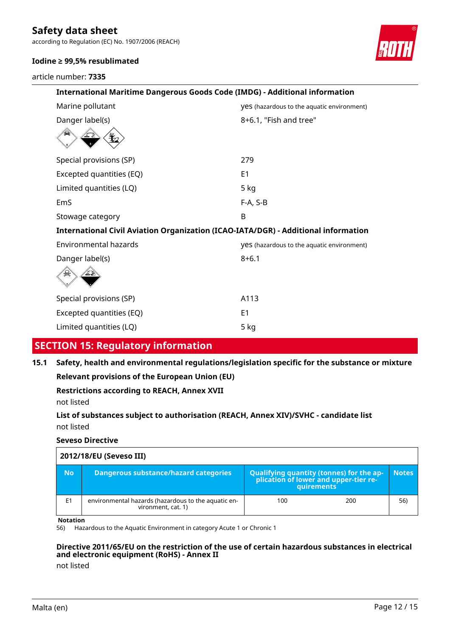according to Regulation (EC) No. 1907/2006 (REACH)



article number: **7335**



| International Maritime Dangerous Goods Code (IMDG) - Additional information        |                                                   |  |  |
|------------------------------------------------------------------------------------|---------------------------------------------------|--|--|
| Marine pollutant                                                                   | <b>Ves</b> (hazardous to the aquatic environment) |  |  |
| Danger label(s)                                                                    | 8+6.1, "Fish and tree"                            |  |  |
|                                                                                    |                                                   |  |  |
| Special provisions (SP)                                                            | 279                                               |  |  |
| Excepted quantities (EQ)                                                           | E <sub>1</sub>                                    |  |  |
| Limited quantities (LQ)                                                            | $5$ kg                                            |  |  |
| EmS                                                                                | F-A, S-B                                          |  |  |
| Stowage category                                                                   | B                                                 |  |  |
| International Civil Aviation Organization (ICAO-IATA/DGR) - Additional information |                                                   |  |  |
| <b>Environmental hazards</b>                                                       | <b>Ves</b> (hazardous to the aquatic environment) |  |  |
| Danger label(s)                                                                    | $8 + 6.1$                                         |  |  |
|                                                                                    |                                                   |  |  |
| Special provisions (SP)                                                            | A113                                              |  |  |
| Excepted quantities (EQ)                                                           | E <sub>1</sub>                                    |  |  |
| Limited quantities (LQ)                                                            | 5 kg                                              |  |  |
|                                                                                    |                                                   |  |  |

# **SECTION 15: Regulatory information**

**15.1 Safety, health and environmental regulations/legislation specific for the substance or mixture**

**Relevant provisions of the European Union (EU)**

**Restrictions according to REACH, Annex XVII**

not listed

**List of substances subject to authorisation (REACH, Annex XIV)/SVHC - candidate list** not listed

#### **Seveso Directive**

| 2012/18/EU (Seveso III) |                                                                           |                                                                                                 |              |
|-------------------------|---------------------------------------------------------------------------|-------------------------------------------------------------------------------------------------|--------------|
| <b>No</b>               | <b>Dangerous substance/hazard categories</b>                              | Qualifying quantity (tonnes) for the ap-<br>plication of lower and upper-tier re-<br>quirements | <b>Notes</b> |
| E <sub>1</sub>          | environmental hazards (hazardous to the aquatic en-<br>vironment, cat. 1) | 100<br>200                                                                                      | 56)          |

#### **Notation**

56) Hazardous to the Aquatic Environment in category Acute 1 or Chronic 1

#### **Directive 2011/65/EU on the restriction of the use of certain hazardous substances in electrical and electronic equipment (RoHS) - Annex II**

not listed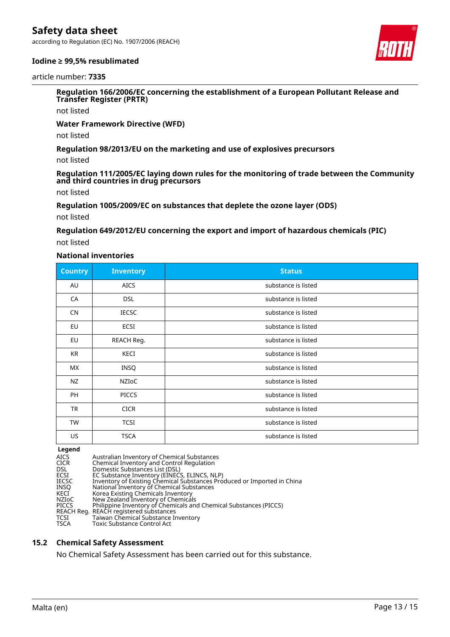according to Regulation (EC) No. 1907/2006 (REACH)



#### **Iodine ≥ 99,5% resublimated**

article number: **7335**

**Regulation 166/2006/EC concerning the establishment of a European Pollutant Release and Transfer Register (PRTR)**

not listed

**Water Framework Directive (WFD)**

not listed

**Regulation 98/2013/EU on the marketing and use of explosives precursors**

not listed

**Regulation 111/2005/EC laying down rules for the monitoring of trade between the Community and third countries in drug precursors**

not listed

**Regulation 1005/2009/EC on substances that deplete the ozone layer (ODS)**

not listed

**Regulation 649/2012/EU concerning the export and import of hazardous chemicals (PIC)**

not listed

#### **National inventories**

| <b>Country</b> | <b>Inventory</b> | <b>Status</b>       |
|----------------|------------------|---------------------|
| AU             | <b>AICS</b>      | substance is listed |
| CA             | <b>DSL</b>       | substance is listed |
| <b>CN</b>      | <b>IECSC</b>     | substance is listed |
| EU             | ECSI             | substance is listed |
| EU             | REACH Reg.       | substance is listed |
| KR             | KECI             | substance is listed |
| <b>MX</b>      | INSQ             | substance is listed |
| NZ             | NZIoC            | substance is listed |
| <b>PH</b>      | <b>PICCS</b>     | substance is listed |
| <b>TR</b>      | <b>CICR</b>      | substance is listed |
| <b>TW</b>      | <b>TCSI</b>      | substance is listed |
| US.            | <b>TSCA</b>      | substance is listed |

**Legend**<br>AICS<br>CICR AICS Australian Inventory of Chemical Substances CICR Chemical Inventory and Control Regulation DSL Domestic Substances List (DSL) ECSI EC Substance Inventory (EINECS, ELINCS, NLP) IECSC Inventory of Existing Chemical Substances Produced or Imported in China INSQ National Inventory of Chemical Substances KECI Korea Existing Chemicals Inventory NZIoC New Zealand Inventory of Chemicals PICCS Philippine Inventory of Chemicals and Chemical Substances (PICCS) REACH Reg. REACH registered substances TCSI Taiwan Chemical Substance Inventory TSCA Toxic Substance Control Act

#### **15.2 Chemical Safety Assessment**

No Chemical Safety Assessment has been carried out for this substance.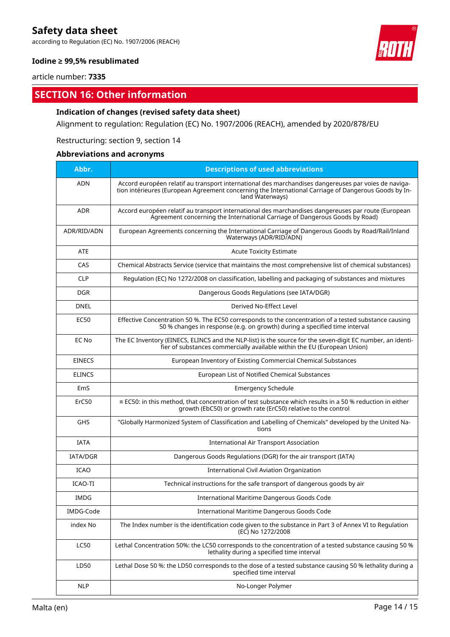according to Regulation (EC) No. 1907/2006 (REACH)

#### **Iodine ≥ 99,5% resublimated**

article number: **7335**

# **SECTION 16: Other information**

#### **Indication of changes (revised safety data sheet)**

Alignment to regulation: Regulation (EC) No. 1907/2006 (REACH), amended by 2020/878/EU

Restructuring: section 9, section 14

### **Abbreviations and acronyms**

| Abbr.           | <b>Descriptions of used abbreviations</b>                                                                                                                                                                                       |
|-----------------|---------------------------------------------------------------------------------------------------------------------------------------------------------------------------------------------------------------------------------|
| <b>ADN</b>      | Accord européen relatif au transport international des marchandises dangereuses par voies de naviga-<br>tion intérieures (European Agreement concerning the International Carriage of Dangerous Goods by In-<br>land Waterways) |
| <b>ADR</b>      | Accord européen relatif au transport international des marchandises dangereuses par route (European<br>Agreement concerning the International Carriage of Dangerous Goods by Road)                                              |
| ADR/RID/ADN     | European Agreements concerning the International Carriage of Dangerous Goods by Road/Rail/Inland<br>Waterways (ADR/RID/ADN)                                                                                                     |
| <b>ATE</b>      | <b>Acute Toxicity Estimate</b>                                                                                                                                                                                                  |
| CAS             | Chemical Abstracts Service (service that maintains the most comprehensive list of chemical substances)                                                                                                                          |
| <b>CLP</b>      | Regulation (EC) No 1272/2008 on classification, labelling and packaging of substances and mixtures                                                                                                                              |
| <b>DGR</b>      | Dangerous Goods Regulations (see IATA/DGR)                                                                                                                                                                                      |
| <b>DNEL</b>     | Derived No-Effect Level                                                                                                                                                                                                         |
| <b>EC50</b>     | Effective Concentration 50 %. The EC50 corresponds to the concentration of a tested substance causing<br>50 % changes in response (e.g. on growth) during a specified time interval                                             |
| EC No           | The EC Inventory (EINECS, ELINCS and the NLP-list) is the source for the seven-digit EC number, an identi-<br>fier of substances commercially available within the EU (European Union)                                          |
| <b>EINECS</b>   | European Inventory of Existing Commercial Chemical Substances                                                                                                                                                                   |
| <b>ELINCS</b>   | European List of Notified Chemical Substances                                                                                                                                                                                   |
| EmS             | <b>Emergency Schedule</b>                                                                                                                                                                                                       |
| ErC50           | $\equiv$ EC50: in this method, that concentration of test substance which results in a 50 % reduction in either<br>growth (EbC50) or growth rate (ErC50) relative to the control                                                |
| <b>GHS</b>      | "Globally Harmonized System of Classification and Labelling of Chemicals" developed by the United Na-<br>tions                                                                                                                  |
| <b>IATA</b>     | <b>International Air Transport Association</b>                                                                                                                                                                                  |
| <b>IATA/DGR</b> | Dangerous Goods Regulations (DGR) for the air transport (IATA)                                                                                                                                                                  |
| <b>ICAO</b>     | International Civil Aviation Organization                                                                                                                                                                                       |
| ICAO-TI         | Technical instructions for the safe transport of dangerous goods by air                                                                                                                                                         |
| <b>IMDG</b>     | International Maritime Dangerous Goods Code                                                                                                                                                                                     |
| IMDG-Code       | International Maritime Dangerous Goods Code                                                                                                                                                                                     |
| index No        | The Index number is the identification code given to the substance in Part 3 of Annex VI to Regulation<br>(EC) No 1272/2008                                                                                                     |
| <b>LC50</b>     | Lethal Concentration 50%: the LC50 corresponds to the concentration of a tested substance causing 50 %<br>lethality during a specified time interval                                                                            |
| LD50            | Lethal Dose 50 %: the LD50 corresponds to the dose of a tested substance causing 50 % lethality during a<br>specified time interval                                                                                             |
| <b>NLP</b>      | No-Longer Polymer                                                                                                                                                                                                               |